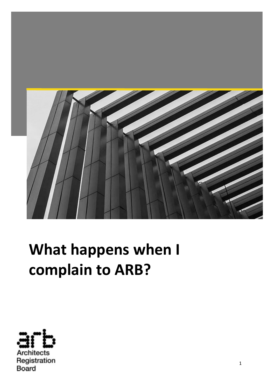

# **What happens when I complain to ARB?**

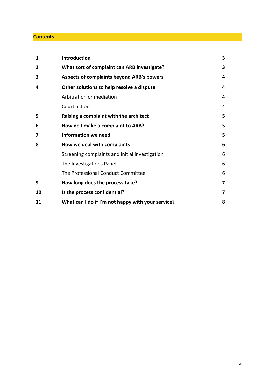#### **Contents**

| 1  | Introduction                                      | 3 |
|----|---------------------------------------------------|---|
| 2  | What sort of complaint can ARB investigate?       | 3 |
| 3  | <b>Aspects of complaints beyond ARB's powers</b>  | 4 |
| 4  | Other solutions to help resolve a dispute         | 4 |
|    | Arbitration or mediation                          | 4 |
|    | Court action                                      | 4 |
| 5  | Raising a complaint with the architect            | 5 |
| 6  | How do I make a complaint to ARB?                 | 5 |
| 7  | <b>Information we need</b>                        | 5 |
| 8  | How we deal with complaints                       | 6 |
|    | Screening complaints and initial investigation    | 6 |
|    | The Investigations Panel                          | 6 |
|    | The Professional Conduct Committee                | 6 |
| 9  | How long does the process take?                   | 7 |
| 10 | Is the process confidential?                      | 7 |
| 11 | What can I do if I'm not happy with your service? | 8 |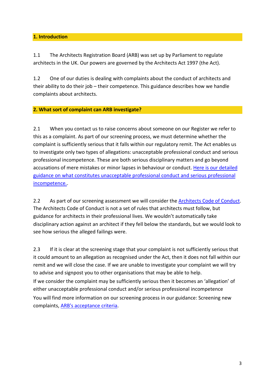# **1. Introduction**

1.1 The Architects Registration Board (ARB) was set up by Parliament to regulate architects in the UK. Our powers are governed by the Architects Act 1997 (the Act).

1.2 One of our duties is dealing with complaints about the conduct of architects and their ability to do their job – their competence. This guidance describes how we handle complaints about architects.

## **2. What sort of complaint can ARB investigate?**

2.1 When you contact us to raise concerns about someone on our Register we refer to this as a complaint. As part of our screening process, we must determine whether the complaint is sufficiently serious that it falls within our regulatory remit. The Act enables us to investigate only two types of allegations: unacceptable professional conduct and serious professional incompetence. These are both serious disciplinary matters and go beyond accusations of mere mistakes or minor lapses in behaviour or conduct. [Here is our detailed](https://arb.org.uk/complaints/arbs-complaint-process/professional-conduct-committee/pcc-guidance/what-constitutes-upc-and-spi/)  [guidance on what constitutes unacceptable professional conduct and serious professional](https://arb.org.uk/complaints/arbs-complaint-process/professional-conduct-committee/pcc-guidance/what-constitutes-upc-and-spi/)  [incompetence..](https://arb.org.uk/complaints/arbs-complaint-process/professional-conduct-committee/pcc-guidance/what-constitutes-upc-and-spi/)

2.2 As part of our screening assessment we will consider the [Architects Code of Conduct.](https://arb.org.uk/architect-information/architects-code-standards-of-conduct-and-practice/) The Architects Code of Conduct is not a set of rules that architects must follow, but guidance for architects in their professional lives. We wouldn't automatically take disciplinary action against an architect if they fell below the standards, but we would look to see how serious the alleged failings were.

2.3 If it is clear at the screening stage that your complaint is not sufficiently serious that it could amount to an allegation as recognised under the Act, then it does not fall within our remit and we will close the case. If we are unable to investigate your complaint we will try to advise and signpost you to other organisations that may be able to help. If we consider the complaint may be sufficiently serious then it becomes an 'allegation' of either unacceptable professional conduct and/or serious professional incompetence You will find more information on our screening process in our guidance: Screening new complaints, [ARB's acceptance criteria.](https://arb.org.uk/complaints/arbs-complaint-process/arbs-investigation-process/acceptance-criteria/)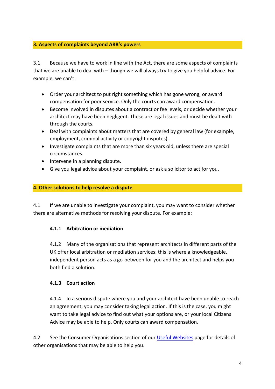# **3. Aspects of complaints beyond ARB's powers**

3.1 Because we have to work in line with the Act, there are some aspects of complaints that we are unable to deal with – though we will always try to give you helpful advice. For example, we can't:

- Order your architect to put right something which has gone wrong, or award compensation for poor service. Only the courts can award compensation.
- Become involved in disputes about a contract or fee levels, or decide whether your architect may have been negligent. These are legal issues and must be dealt with through the courts.
- Deal with complaints about matters that are covered by general law (for example, employment, criminal activity or copyright disputes).
- Investigate complaints that are more than six years old, unless there are special circumstances.
- Intervene in a planning dispute.
- Give you legal advice about your complaint, or ask a solicitor to act for you.

# **4. Other solutions to help resolve a dispute**

4.1 If we are unable to investigate your complaint, you may want to consider whether there are alternative methods for resolving your dispute. For example:

# **4.1.1 Arbitration or mediation**

4.1.2 Many of the organisations that represent architects in different parts of the UK offer local arbitration or mediation services: this is where a knowledgeable, independent person acts as a go-between for you and the architect and helps you both find a solution.

# **4.1.3 Court action**

4.1.4 In a serious dispute where you and your architect have been unable to reach an agreement, you may consider taking legal action. If this is the case, you might want to take legal advice to find out what your options are, or your local Citizens Advice may be able to help. Only courts can award compensation.

4.2 See the Consumer Organisations section of our [Useful Websites](https://arb.org.uk/about-arb/useful-websites/) page for details of other organisations that may be able to help you.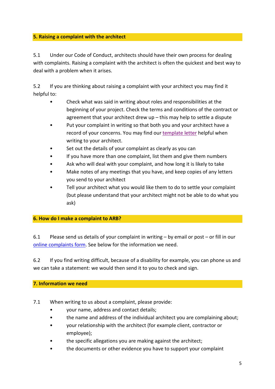# **5. Raising a complaint with the architect**

5.1 Under our Code of Conduct, architects should have their own process for dealing with complaints. Raising a complaint with the architect is often the quickest and best way to deal with a problem when it arises.

5.2 If you are thinking about raising a complaint with your architect you may find it helpful to:

- Check what was said in writing about roles and responsibilities at the beginning of your project. Check the terms and conditions of the contract or agreement that your architect drew up – this may help to settle a dispute
- Put your complaint in writing so that both you and your architect have a record of your concerns. You may find our [template letter](https://view.officeapps.live.com/op/view.aspx?src=https%3A%2F%2Farb.org.uk%2Fwp-content%2Fuploads%2F2018%2F10%2FHow-to-Complain-to-Your-Architect-Template.docx&wdOrigin=BROWSELINK) helpful when writing to your architect.
- Set out the details of your complaint as clearly as you can
- If you have more than one complaint, list them and give them numbers
- Ask who will deal with your complaint, and how long it is likely to take
- Make notes of any meetings that you have, and keep copies of any letters you send to your architect
- Tell your architect what you would like them to do to settle your complaint (but please understand that your architect might not be able to do what you ask)

# **6. How do I make a complaint to ARB?**

6.1 Please send us details of your complaint in writing – by email or post – or fill in our [online complaints form.](https://complaints.arb.org.uk/) See below for the information we need.

6.2 If you find writing difficult, because of a disability for example, you can phone us and we can take a statement: we would then send it to you to check and sign.

# **7. Information we need**

- 7.1 When writing to us about a complaint, please provide:
	- your name, address and contact details;
	- the name and address of the individual architect you are complaining about;
	- your relationship with the architect (for example client, contractor or employee);
	- the specific allegations you are making against the architect;
	- the documents or other evidence you have to support your complaint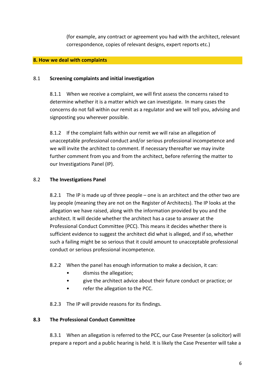(for example, any contract or agreement you had with the architect, relevant correspondence, copies of relevant designs, expert reports etc.)

#### **8. How we deal with complaints**

#### 8.1 **Screening complaints and initial investigation**

8.1.1 When we receive a complaint, we will first assess the concerns raised to determine whether it is a matter which we can investigate. In many cases the concerns do not fall within our remit as a regulator and we will tell you, advising and signposting you wherever possible.

8.1.2 If the complaint falls within our remit we will raise an allegation of unacceptable professional conduct and/or serious professional incompetence and we will invite the architect to comment. If necessary thereafter we may invite further comment from you and from the architect, before referring the matter to our Investigations Panel (IP).

## 8.2 **The Investigations Panel**

8.2.1 The IP is made up of three people – one is an architect and the other two are lay people (meaning they are not on the Register of Architects). The IP looks at the allegation we have raised, along with the information provided by you and the architect. It will decide whether the architect has a case to answer at the Professional Conduct Committee (PCC). This means it decides whether there is sufficient evidence to suggest the architect did what is alleged, and if so, whether such a failing might be so serious that it could amount to unacceptable professional conduct or serious professional incompetence.

8.2.2 When the panel has enough information to make a decision, it can:

- dismiss the allegation;
- give the architect advice about their future conduct or practice; or
- refer the allegation to the PCC.

8.2.3 The IP will provide reasons for its findings.

## **8.3 The Professional Conduct Committee**

8.3.1 When an allegation is referred to the PCC, our Case Presenter (a solicitor) will prepare a report and a public hearing is held. It is likely the Case Presenter will take a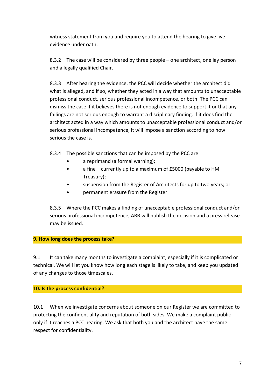witness statement from you and require you to attend the hearing to give live evidence under oath.

8.3.2 The case will be considered by three people – one architect, one lay person and a legally qualified Chair.

8.3.3 After hearing the evidence, the PCC will decide whether the architect did what is alleged, and if so, whether they acted in a way that amounts to unacceptable professional conduct, serious professional incompetence, or both. The PCC can dismiss the case if it believes there is not enough evidence to support it or that any failings are not serious enough to warrant a disciplinary finding. If it does find the architect acted in a way which amounts to unacceptable professional conduct and/or serious professional incompetence, it will impose a sanction according to how serious the case is.

8.3.4 The possible sanctions that can be imposed by the PCC are:

- a reprimand (a formal warning);
- a fine currently up to a maximum of £5000 (payable to HM Treasury);
- suspension from the Register of Architects for up to two years; or
- permanent erasure from the Register

8.3.5 Where the PCC makes a finding of unacceptable professional conduct and/or serious professional incompetence, ARB will publish the decision and a press release may be issued.

## **9. How long does the process take?**

9.1 It can take many months to investigate a complaint, especially if it is complicated or technical. We will let you know how long each stage is likely to take, and keep you updated of any changes to those timescales.

## **10. Is the process confidential?**

10.1 When we investigate concerns about someone on our Register we are committed to protecting the confidentiality and reputation of both sides. We make a complaint public only if it reaches a PCC hearing. We ask that both you and the architect have the same respect for confidentiality.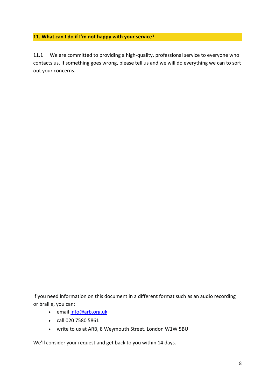# **11. What can I do if I'm not happy with your service?**

11.1 We are committed to providing a high-quality, professional service to everyone who contacts us. If something goes wrong, please tell us and we will do everything we can to sort out your concerns.

If you need information on this document in a different format such as an audio recording or braille, you can:

- email [info@arb.org.uk](mailto:info@arb.org.uk)
- call 020 7580 5861
- write to us at ARB, 8 Weymouth Street. London W1W 5BU

We'll consider your request and get back to you within 14 days.